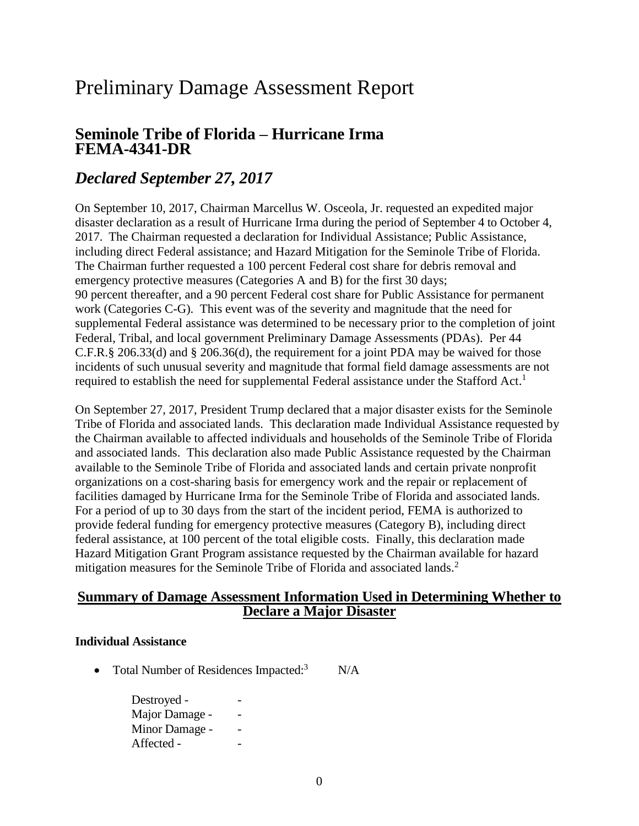# Preliminary Damage Assessment Report

## **Seminole Tribe of Florida – Hurricane Irma FEMA-4341-DR**

## *Declared September 27, 2017*

On September 10, 2017, Chairman Marcellus W. Osceola, Jr. requested an expedited major disaster declaration as a result of Hurricane Irma during the period of September 4 to October 4, 2017. The Chairman requested a declaration for Individual Assistance; Public Assistance, including direct Federal assistance; and Hazard Mitigation for the Seminole Tribe of Florida. The Chairman further requested a 100 percent Federal cost share for debris removal and emergency protective measures (Categories A and B) for the first 30 days; 90 percent thereafter, and a 90 percent Federal cost share for Public Assistance for permanent work (Categories C-G). This event was of the severity and magnitude that the need for supplemental Federal assistance was determined to be necessary prior to the completion of joint Federal, Tribal, and local government Preliminary Damage Assessments (PDAs). Per 44 C.F.R.§ 206.33(d) and § 206.36(d), the requirement for a joint PDA may be waived for those incidents of such unusual severity and magnitude that formal field damage assessments are not required to establish the need for supplemental Federal assistance under the Stafford Act.<sup>1</sup>

On September 27, 2017, President Trump declared that a major disaster exists for the Seminole Tribe of Florida and associated lands. This declaration made Individual Assistance requested by the Chairman available to affected individuals and households of the Seminole Tribe of Florida and associated lands. This declaration also made Public Assistance requested by the Chairman available to the Seminole Tribe of Florida and associated lands and certain private nonprofit organizations on a cost-sharing basis for emergency work and the repair or replacement of facilities damaged by Hurricane Irma for the Seminole Tribe of Florida and associated lands. For a period of up to 30 days from the start of the incident period, FEMA is authorized to provide federal funding for emergency protective measures (Category B), including direct federal assistance, at 100 percent of the total eligible costs. Finally, this declaration made Hazard Mitigation Grant Program assistance requested by the Chairman available for hazard mitigation measures for the Seminole Tribe of Florida and associated lands.<sup>2</sup>

### **Summary of Damage Assessment Information Used in Determining Whether to Declare a Major Disaster**

#### **Individual Assistance**

• Total Number of Residences Impacted:<sup>3</sup>  $N/A$ 

> Destroyed - Major Damage - - Minor Damage -Affected - -